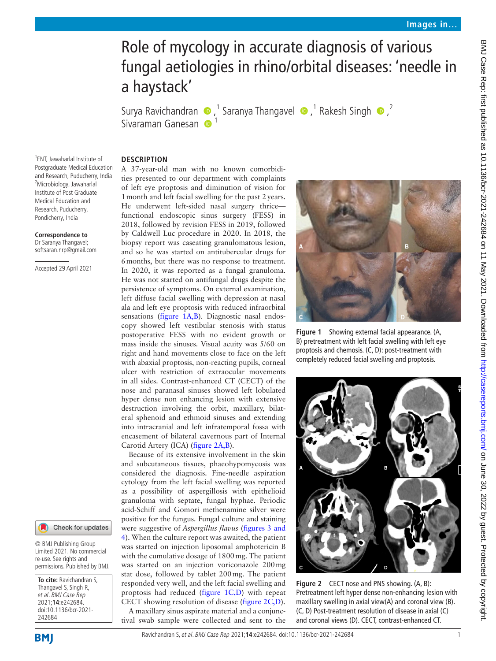# Role of mycology in accurate diagnosis of various fungal aetiologies in rhino/orbital diseases: 'needle in a haystack'

SuryaRavichandran  $\bigcirc$ ,<sup>1</sup> Saranya Thangavel  $\bigcirc$ ,<sup>1</sup> Rakesh Singh  $\bigcirc$ ,<sup>2</sup> Sivaraman Ganesan

#### **DESCRIPTION**

1 ENT, Jawaharlal Institute of Postgraduate Medical Education and Research, Puducherry, India <sup>2</sup>Microbiology, Jawaharlal Institute of Post Graduate Medical Education and Research, Puducherry, Pondicherry, India

**Correspondence to** Dr Saranya Thangavel; softsaran.nrp@gmail.com

Accepted 29 April 2021



© BMJ Publishing Group Limited 2021. No commercial re-use. See rights and permissions. Published by BMJ.

**To cite:** Ravichandran S, Thangavel S, Singh R, et al. BMJ Case Rep 2021;**14**:e242684. doi:10.1136/bcr-2021- 242684

A 37-year-old man with no known comorbidities presented to our department with complaints

of left eye proptosis and diminution of vision for 1month and left facial swelling for the past 2years. He underwent left-sided nasal surgery thrice functional endoscopic sinus surgery (FESS) in 2018, followed by revision FESS in 2019, followed by Caldwell Luc procedure in 2020. In 2018, the biopsy report was caseating granulomatous lesion, and so he was started on antitubercular drugs for 6months, but there was no response to treatment. In 2020, it was reported as a fungal granuloma. He was not started on antifungal drugs despite the persistence of symptoms. On external examination, left diffuse facial swelling with depression at nasal ala and left eye proptosis with reduced infraorbital sensations [\(figure](#page-0-0) 1A,B). Diagnostic nasal endoscopy showed left vestibular stenosis with status postoperative FESS with no evident growth or mass inside the sinuses. Visual acuity was 5/60 on right and hand movements close to face on the left with abaxial proptosis, non-reacting pupils, corneal ulcer with restriction of extraocular movements in all sides. Contrast-enhanced CT (CECT) of the nose and paranasal sinuses showed left lobulated hyper dense non enhancing lesion with extensive destruction involving the orbit, maxillary, bilateral sphenoid and ethmoid sinuses and extending into intracranial and left infratemporal fossa with encasement of bilateral cavernous part of Internal Carotid Artery (ICA) ([figure](#page-0-1) 2A,B).

Because of its extensive involvement in the skin and subcutaneous tissues, phaeohypomycosis was considered the diagnosis. Fine-needle aspiration cytology from the left facial swelling was reported as a possibility of aspergillosis with epithelioid granuloma with septate, fungal hyphae. Periodic acid-Schiff and Gomori methenamine silver were positive for the fungus. Fungal culture and staining were suggestive of *Aspergillus flavus* [\(figures](#page-1-0) 3 and

<span id="page-0-1"></span>[4\)](#page-1-0). When the culture report was awaited, the patient was started on injection liposomal amphotericin B with the cumulative dosage of 1800mg. The patient was started on an injection voriconazole 200mg stat dose, followed by tablet 200mg. The patient responded very well, and the left facial swelling and proptosis had reduced [\(figure](#page-0-0) 1C,D) with repeat CECT showing resolution of disease [\(figure](#page-0-1) 2C,D). A maxillary sinus aspirate material and a conjunctival swab sample were collected and sent to the



**Figure 1** Showing external facial appearance. (A, B) pretreatment with left facial swelling with left eye proptosis and chemosis. (C, D): post-treatment with completely reduced facial swelling and proptosis.

<span id="page-0-0"></span>

**Figure 2** CECT nose and PNS showing. (A, B): Pretreatment left hyper dense non-enhancing lesion with maxillary swelling in axial view(A) and coronal view (B). (C, D) Post-treatment resolution of disease in axial (C) and coronal views (D). CECT, contrast-enhanced CT.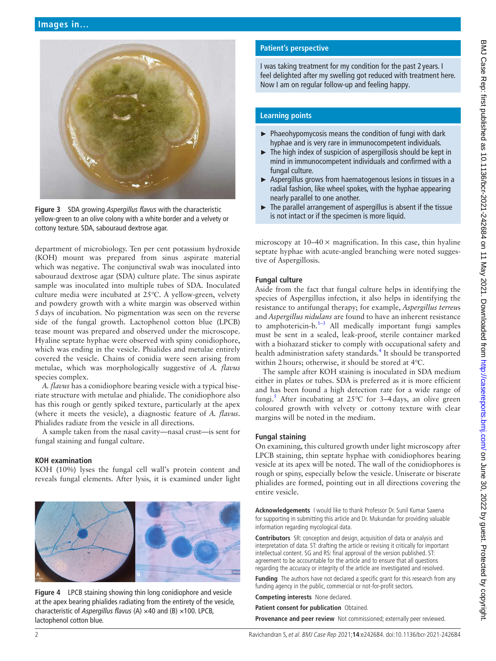

**Figure 3** SDA growing *Aspergillus flavus* with the characteristic yellow-green to an olive colony with a white border and a velvety or cottony texture. SDA, sabouraud dextrose agar.

<span id="page-1-0"></span>department of microbiology. Ten per cent potassium hydroxide (KOH) mount was prepared from sinus aspirate material which was negative. The conjunctival swab was inoculated into sabouraud dextrose agar (SDA) culture plate. The sinus aspirate sample was inoculated into multiple tubes of SDA. Inoculated culture media were incubated at 25℃. A yellow-green, velvety and powdery growth with a white margin was observed within 5days of incubation. No pigmentation was seen on the reverse side of the fungal growth. Lactophenol cotton blue (LPCB) tease mount was prepared and observed under the microscope. Hyaline septate hyphae were observed with spiny conidiophore, which was ending in the vesicle. Phialides and metulae entirely covered the vesicle. Chains of conidia were seen arising from metulae, which was morphologically suggestive of *A. flavus* species complex.

*A. flavus* has a conidiophore bearing vesicle with a typical biseriate structure with metulae and phialide. The conidiophore also has this rough or gently spiked texture, particularly at the apex (where it meets the vesicle), a diagnostic feature of *A. flavus*. Phialides radiate from the vesicle in all directions.

A sample taken from the nasal cavity—nasal crust—is sent for fungal staining and fungal culture.

### **KOH examination**

KOH (10%) lyses the fungal cell wall's protein content and reveals fungal elements. After lysis, it is examined under light



**Figure 4** LPCB staining showing thin long conidiophore and vesicle at the apex bearing phialides radiating from the entirety of the vesicle, characteristic of *Aspergillus flavus* (A) ×40 and (B) ×100. LPCB, lactophenol cotton blue.

# **Patient's perspective**

I was taking treatment for my condition for the past 2 years. I feel delighted after my swelling got reduced with treatment here. Now I am on regular follow-up and feeling happy.

# **Learning points**

- ► Phaeohypomycosis means the condition of fungi with dark hyphae and is very rare in immunocompetent individuals.
- $\blacktriangleright$  The high index of suspicion of aspergillosis should be kept in mind in immunocompetent individuals and confirmed with a fungal culture.
- ► Aspergillus grows from haematogenous lesions in tissues in a radial fashion, like wheel spokes, with the hyphae appearing nearly parallel to one another.
- ► The parallel arrangement of aspergillus is absent if the tissue is not intact or if the specimen is more liquid.

microscopy at  $10-40 \times$  magnification. In this case, thin hyaline septate hyphae with acute-angled branching were noted suggestive of Aspergillosis.

# **Fungal culture**

Aside from the fact that fungal culture helps in identifying the species of Aspergillus infection, it also helps in identifying the resistance to antifungal therapy; for example, *Aspergillus terreu*s and *Aspergillus nidulans* are found to have an inherent resistance to amphotericin-b. $1-3$  All medically important fungi samples must be sent in a sealed, leak-proof, sterile container marked with a biohazard sticker to comply with occupational safety and health administration safety standards.<sup>[4](#page-2-1)</sup> It should be transported within 2hours; otherwise, it should be stored at 4℃.

The sample after KOH staining is inoculated in SDA medium either in plates or tubes. SDA is preferred as it is more efficient and has been found a high detection rate for a wide range of fungi.<sup>5</sup> After incubating at 25℃ for 3-4 days, an olive green coloured growth with velvety or cottony texture with clear margins will be noted in the medium.

### **Fungal staining**

On examining, this cultured growth under light microscopy after LPCB staining, thin septate hyphae with conidiophores bearing vesicle at its apex will be noted. The wall of the conidiophores is rough or spiny, especially below the vesicle. Uniserate or biserate phialides are formed, pointing out in all directions covering the entire vesicle.

**Acknowledgements** I would like to thank Professor Dr. Sunil Kumar Saxena for supporting in submitting this article and Dr. Mukundan for providing valuable information regarding mycological data.

**Contributors** SR: conception and design, acquisition of data or analysis and interpretation of data. ST: drafting the article or revising it critically for important intellectual content. SG and RS: final approval of the version published. ST: agreement to be accountable for the article and to ensure that all questions regarding the accuracy or integrity of the article are investigated and resolved.

**Funding** The authors have not declared a specific grant for this research from any funding agency in the public, commercial or not-for-profit sectors.

**Competing interests** None declared.

**Patient consent for publication** Obtained.

**Provenance and peer review** Not commissioned; externally peer reviewed.